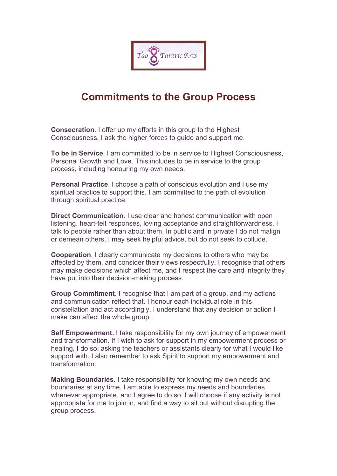

## **Commitments to the Group Process**

**Consecration**. I offer up my efforts in this group to the Highest Consciousness. I ask the higher forces to guide and support me.

**To be in Service**. I am committed to be in service to Highest Consciousness, Personal Growth and Love. This includes to be in service to the group process, including honouring my own needs.

**Personal Practice**. I choose a path of conscious evolution and I use my spiritual practice to support this. I am committed to the path of evolution through spiritual practice.

**Direct Communication**. I use clear and honest communication with open listening, heart-felt responses, loving acceptance and straightforwardness. I talk to people rather than about them. In public and in private I do not malign or demean others. I may seek helpful advice, but do not seek to collude.

**Cooperation**. I clearly communicate my decisions to others who may be affected by them, and consider their views respectfully. I recognise that others may make decisions which affect me, and I respect the care and integrity they have put into their decision-making process.

**Group Commitment**. I recognise that I am part of a group, and my actions and communication reflect that. I honour each individual role in this constellation and act accordingly. I understand that any decision or action I make can affect the whole group.

**Self Empowerment.** I take responsibility for my own journey of empowerment and transformation. If I wish to ask for support in my empowerment process or healing, I do so: asking the teachers or assistants clearly for what I would like support with. I also remember to ask Spirit to support my empowerment and transformation.

**Making Boundaries.** I take responsibility for knowing my own needs and boundaries at any time. I am able to express my needs and boundaries whenever appropriate, and I agree to do so. I will choose if any activity is not appropriate for me to join in, and find a way to sit out without disrupting the group process.